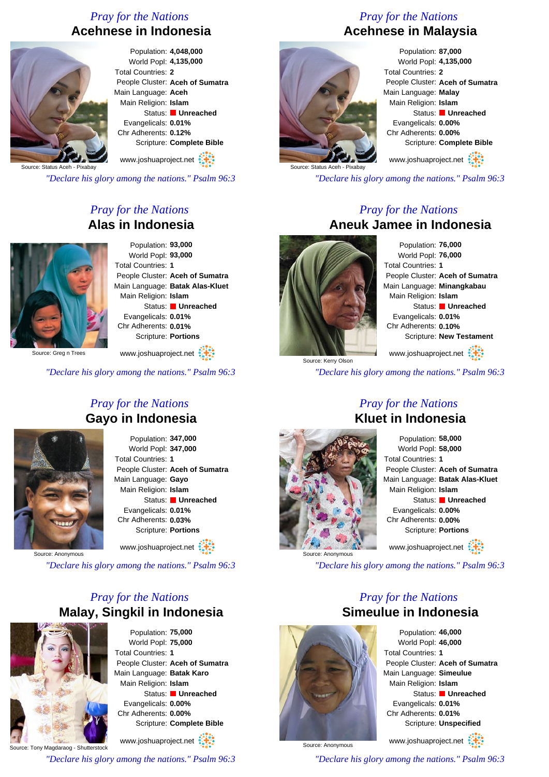## *Pray for the Nations* **Acehnese in Indonesia**



Population: **4,048,000** World Popl: **4,135,000** Total Countries: **2** People Cluster: **Aceh of Sumatra** Main Language: **Aceh** Main Religion: **Islam** Status: **Unreached** Evangelicals: **0.01%** Chr Adherents: **0.12%** Scripture: **Complete Bible**

www.joshuaproject.net

Source: Status Aceh - Pixabay

*"Declare his glory among the nations." Psalm 96:3*

## *Pray for the Nations* **Alas in Indonesia**



Population: **93,000** World Popl: **93,000** Total Countries: **1** People Cluster: **Aceh of Sumatra** Main Language: **Batak Alas-Kluet** Main Religion: **Islam** Status: **Unreached** Evangelicals: **0.01%** Chr Adherents: **0.01%** Scripture: **Portions** www.joshuaproject.net

Source: Greg n Trees

*"Declare his glory among the nations." Psalm 96:3*

### *Pray for the Nations* **Gayo in Indonesia**



Population: **347,000** World Popl: **347,000** Total Countries: **1** People Cluster: **Aceh of Sumatra** Main Language: **Gayo** Main Religion: **Islam** Status: **Unreached** Evangelicals: **0.01%** Chr Adherents: **0.03%** Scripture: **Portions**

www.joshuaproject.net

Source: Anonymous

*"Declare his glory among the nations." Psalm 96:3*

## *Pray for the Nations* **Malay, Singkil in Indonesia**



Population: **75,000** World Popl: **75,000** Total Countries: **1** People Cluster: **Aceh of Sumatra** Main Language: **Batak Karo** Main Religion: **Islam** Status: **Unreached** Evangelicals: **0.00%** Chr Adherents: **0.00%** Scripture: **Complete Bible**

Source: Tony Magdaraog - Shutterstock www.joshuaproject.net

*"Declare his glory among the nations." Psalm 96:3*

# *Pray for the Nations* **Acehnese in Malaysia**



Population: **87,000** World Popl: **4,135,000** Total Countries: **2** People Cluster: **Aceh of Sumatra** Main Language: **Malay** Main Religion: **Islam** Status: **Unreached** Evangelicals: **0.00%** Chr Adherents: **0.00%** Scripture: **Complete Bible**

www.joshuaproject.net

*"Declare his glory among the nations." Psalm 96:3*

#### *Pray for the Nations* **Aneuk Jamee in Indonesia**



Population: **76,000** World Popl: **76,000** Total Countries: **1** People Cluster: **Aceh of Sumatra** Main Language: **Minangkabau** Main Religion: **Islam** Status: **Unreached** Evangelicals: **0.01%** Chr Adherents: **0.10%** Scripture: **New Testament** www.joshuaproject.net

Source: Kerry Olson *"Declare his glory among the nations." Psalm 96:3*

# Source: Anonymous

## *Pray for the Nations* **Kluet in Indonesia**



*"Declare his glory among the nations." Psalm 96:3*

## *Pray for the Nations* **Simeulue in Indonesia**



Population: **46,000** World Popl: **46,000** Total Countries: **1** People Cluster: **Aceh of Sumatra** Main Language: **Simeulue** Main Religion: **Islam** Status: **Unreached** Evangelicals: **0.01%** Chr Adherents: **0.01%** Scripture: **Unspecified**

www.joshuaproject.net

*"Declare his glory among the nations." Psalm 96:3*